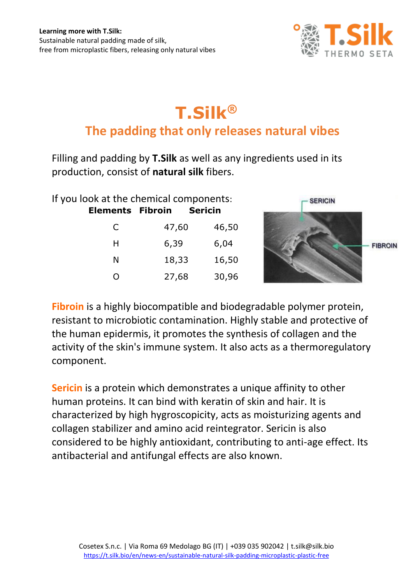

## **T.Silk® The padding that only releases natural vibes**

Filling and padding by **T.Silk** as well as any ingredients used in its production, consist of **natural silk** fibers.

| If you look at the chemical components: |       |         |
|-----------------------------------------|-------|---------|
| <b>Elements Fibroin</b>                 |       | Sericin |
| C                                       | 47,60 | 46,50   |
| н                                       | 6,39  | 6,04    |
| N                                       | 18,33 | 16,50   |
|                                         | 27,68 | 30,96   |



**Fibroin** is a highly biocompatible and biodegradable polymer protein, resistant to microbiotic contamination. Highly stable and protective of the human epidermis, it promotes the synthesis of collagen and the activity of the skin's immune system. It also acts as a thermoregulatory component.

**Sericin** is a protein which demonstrates a unique affinity to other human proteins. It can bind with keratin of skin and hair. It is characterized by high hygroscopicity, acts as moisturizing agents and collagen stabilizer and amino acid reintegrator. Sericin is also considered to be highly antioxidant, contributing to anti-age effect. Its antibacterial and antifungal effects are also known.